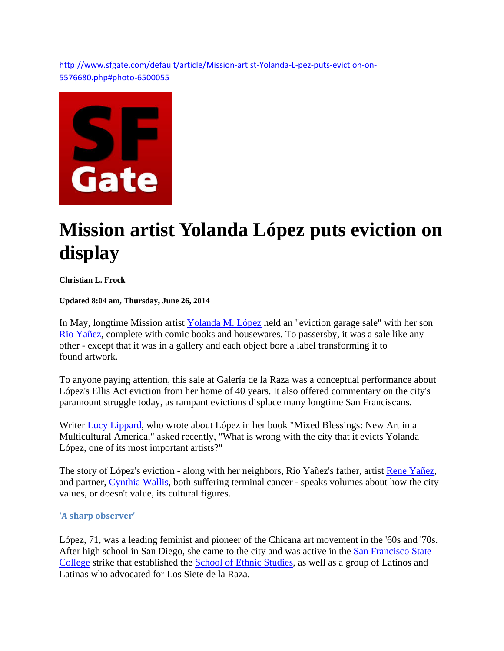http://www.sfgate.com/default/article/Mission-artist-Yolanda-L-pez-puts-eviction-on-5576680.php#photo‐6500055



# **Mission artist Yolanda López puts eviction on display**

### **Christian L. Frock**

#### **Updated 8:04 am, Thursday, June 26, 2014**

In May, longtime Mission artist Yolanda M. López held an "eviction garage sale" with her son Rio Yañez, complete with comic books and housewares. To passersby, it was a sale like any other - except that it was in a gallery and each object bore a label transforming it to found artwork.

To anyone paying attention, this sale at Galería de la Raza was a conceptual performance about López's Ellis Act eviction from her home of 40 years. It also offered commentary on the city's paramount struggle today, as rampant evictions displace many longtime San Franciscans.

Writer Lucy Lippard, who wrote about López in her book "Mixed Blessings: New Art in a Multicultural America," asked recently, "What is wrong with the city that it evicts Yolanda López, one of its most important artists?"

The story of López's eviction - along with her neighbors, Rio Yañez's father, artist Rene Yañez, and partner, Cynthia Wallis, both suffering terminal cancer - speaks volumes about how the city values, or doesn't value, its cultural figures.

## **'A sharp observer'**

López, 71, was a leading feminist and pioneer of the Chicana art movement in the '60s and '70s. After high school in San Diego, she came to the city and was active in the San Francisco State College strike that established the School of Ethnic Studies, as well as a group of Latinos and Latinas who advocated for Los Siete de la Raza.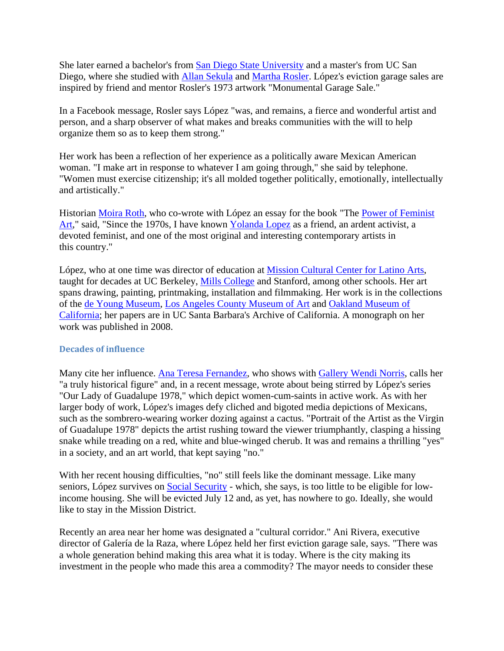She later earned a bachelor's from San Diego State University and a master's from UC San Diego, where she studied with Allan Sekula and Martha Rosler. López's eviction garage sales are inspired by friend and mentor Rosler's 1973 artwork "Monumental Garage Sale."

In a Facebook message, Rosler says López "was, and remains, a fierce and wonderful artist and person, and a sharp observer of what makes and breaks communities with the will to help organize them so as to keep them strong."

Her work has been a reflection of her experience as a politically aware Mexican American woman. "I make art in response to whatever I am going through," she said by telephone. "Women must exercise citizenship; it's all molded together politically, emotionally, intellectually and artistically."

Historian Moira Roth, who co-wrote with López an essay for the book "The Power of Feminist Art," said, "Since the 1970s, I have known Yolanda Lopez as a friend, an ardent activist, a devoted feminist, and one of the most original and interesting contemporary artists in this country."

López, who at one time was director of education at Mission Cultural Center for Latino Arts, taught for decades at UC Berkeley, Mills College and Stanford, among other schools. Her art spans drawing, painting, printmaking, installation and filmmaking. Her work is in the collections of the de Young Museum, Los Angeles County Museum of Art and Oakland Museum of California; her papers are in UC Santa Barbara's Archive of California. A monograph on her work was published in 2008.

## **Decades of influence**

Many cite her influence. Ana Teresa Fernandez, who shows with Gallery Wendi Norris, calls her "a truly historical figure" and, in a recent message, wrote about being stirred by López's series "Our Lady of Guadalupe 1978," which depict women-cum-saints in active work. As with her larger body of work, López's images defy cliched and bigoted media depictions of Mexicans, such as the sombrero-wearing worker dozing against a cactus. "Portrait of the Artist as the Virgin of Guadalupe 1978" depicts the artist rushing toward the viewer triumphantly, clasping a hissing snake while treading on a red, white and blue-winged cherub. It was and remains a thrilling "yes" in a society, and an art world, that kept saying "no."

With her recent housing difficulties, "no" still feels like the dominant message. Like many seniors, López survives on Social Security - which, she says, is too little to be eligible for lowincome housing. She will be evicted July 12 and, as yet, has nowhere to go. Ideally, she would like to stay in the Mission District.

Recently an area near her home was designated a "cultural corridor." Ani Rivera, executive director of Galería de la Raza, where López held her first eviction garage sale, says. "There was a whole generation behind making this area what it is today. Where is the city making its investment in the people who made this area a commodity? The mayor needs to consider these